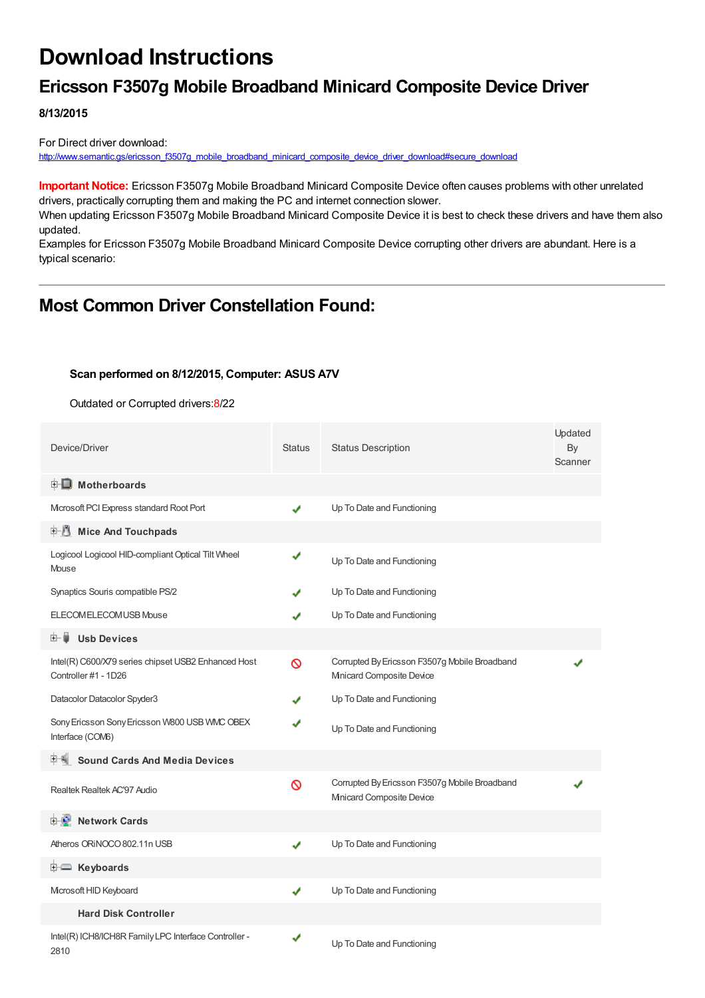# **Download Instructions**

### **Ericsson F3507g Mobile Broadband Minicard Composite Device Driver**

**8/13/2015**

For Direct driver download: [http://www.semantic.gs/ericsson\\_f3507g\\_mobile\\_broadband\\_minicard\\_composite\\_device\\_driver\\_download#secure\\_download](http://www.semantic.gs/ericsson_f3507g_mobile_broadband_minicard_composite_device_driver_download#secure_download)

**Important Notice:** Ericsson F3507g Mobile Broadband Minicard Composite Device often causes problems with other unrelated drivers, practically corrupting them and making the PC and internet connection slower.

When updating Ericsson F3507g Mobile Broadband Minicard Composite Device it is best to check these drivers and have them also updated.

Examples for Ericsson F3507g Mobile Broadband Minicard Composite Device corrupting other drivers are abundant. Here is a typical scenario:

### **Most Common Driver Constellation Found:**

#### **Scan performed on 8/12/2015, Computer: ASUS A7V**

Outdated or Corrupted drivers:8/22

| Device/Driver                                                               | <b>Status</b> | <b>Status Description</b>                                                  | Updated<br>By<br>Scanner |
|-----------------------------------------------------------------------------|---------------|----------------------------------------------------------------------------|--------------------------|
| <b>E</b> Motherboards                                                       |               |                                                                            |                          |
| Microsoft PCI Express standard Root Port                                    | ✔             | Up To Date and Functioning                                                 |                          |
| Mice And Touchpads                                                          |               |                                                                            |                          |
| Logicool Logicool HID-compliant Optical Tilt Wheel<br>Mouse                 | ✔             | Up To Date and Functioning                                                 |                          |
| Synaptics Souris compatible PS/2                                            |               | Up To Date and Functioning                                                 |                          |
| ELECOM ELECOM USB Mouse                                                     |               | Up To Date and Functioning                                                 |                          |
| <b>Usb Devices</b><br>田… 草                                                  |               |                                                                            |                          |
| Intel(R) C600/X79 series chipset USB2 Enhanced Host<br>Controller #1 - 1D26 | ര             | Corrupted By Ericsson F3507g Mobile Broadband<br>Minicard Composite Device |                          |
| Datacolor Datacolor Spyder3                                                 |               | Up To Date and Functioning                                                 |                          |
| Sony Ericsson Sony Ericsson W800 USB WMC OBEX<br>Interface (COM6)           |               | Up To Date and Functioning                                                 |                          |
| <b>Sound Cards And Media Devices</b>                                        |               |                                                                            |                          |
| Realtek Realtek AC'97 Audio                                                 | Ø             | Corrupted By Ericsson F3507g Mobile Broadband<br>Minicard Composite Device |                          |
| <b>Network Cards</b><br>⊞™≞™                                                |               |                                                                            |                          |
| Atheros ORINOCO 802.11n USB                                                 | ✔             | Up To Date and Functioning                                                 |                          |
| <b>E</b> Keyboards                                                          |               |                                                                            |                          |
| Microsoft HID Keyboard                                                      | ✔             | Up To Date and Functioning                                                 |                          |
| <b>Hard Disk Controller</b>                                                 |               |                                                                            |                          |
| Intel(R) ICH8/ICH8R Family LPC Interface Controller -<br>2810               |               | Up To Date and Functioning                                                 |                          |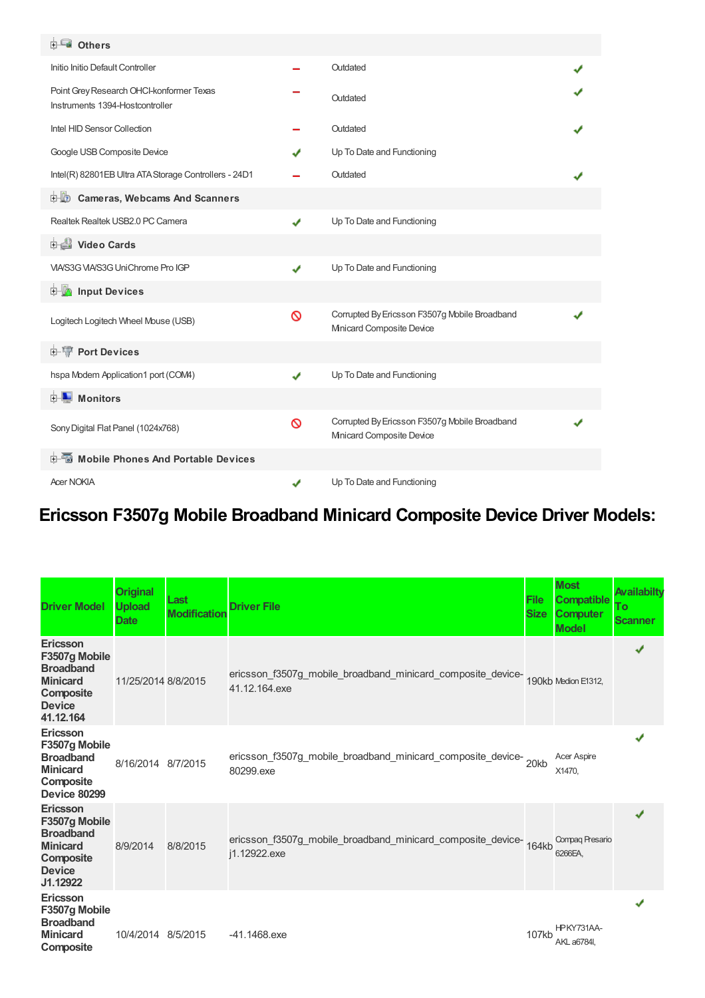| <b>ELECT</b> Others                                                         |   |                                                                            |  |
|-----------------------------------------------------------------------------|---|----------------------------------------------------------------------------|--|
| Initio Initio Default Controller                                            |   | Outdated                                                                   |  |
| Point Grey Research OHCI-konformer Texas<br>Instruments 1394-Hostcontroller |   | Outdated                                                                   |  |
| Intel HID Sensor Collection                                                 |   | Outdated                                                                   |  |
| Google USB Composite Device                                                 |   | Up To Date and Functioning                                                 |  |
| Intel(R) 82801EB Ultra ATA Storage Controllers - 24D1                       |   | Outdated                                                                   |  |
| <b>D</b> Cameras, Webcams And Scanners                                      |   |                                                                            |  |
| Realtek Realtek USB2.0 PC Camera                                            | ✔ | Up To Date and Functioning                                                 |  |
| <b>Dideo Cards</b>                                                          |   |                                                                            |  |
| VIA/S3G VIA/S3G UniChrome Pro IGP                                           | ✔ | Up To Date and Functioning                                                 |  |
| <b>Devices</b> Input Devices                                                |   |                                                                            |  |
| Logitech Logitech Wheel Mouse (USB)                                         | Ø | Corrupted By Ericsson F3507g Mobile Broadband<br>Minicard Composite Device |  |
| <b>E-W</b> Port Devices                                                     |   |                                                                            |  |
| hspa Modem Application1 port (COM4)                                         | ✔ | Up To Date and Functioning                                                 |  |
| <b>D</b> Monitors                                                           |   |                                                                            |  |
| Sony Digital Flat Panel (1024x768)                                          | Ø | Corrupted By Ericsson F3507g Mobile Broadband<br>Minicard Composite Device |  |
| <b>E</b> Mobile Phones And Portable Devices                                 |   |                                                                            |  |
| <b>Acer NOKIA</b>                                                           | ✔ | Up To Date and Functioning                                                 |  |

## **Ericsson F3507g Mobile Broadband Minicard Composite Device Driver Models:**

| <b>Driver Model</b>                                                                                                | <b>Original</b><br><b>Upload</b><br><b>Date</b> | Last<br><b>Modification</b> | <b>Driver File</b>                                                                              | <b>File</b><br><b>Size</b> | <b>Most</b><br><b>Compatible</b><br><b>Computer</b><br><b>Model</b> | Availabilty<br>Тo<br><b>Scanner</b> |
|--------------------------------------------------------------------------------------------------------------------|-------------------------------------------------|-----------------------------|-------------------------------------------------------------------------------------------------|----------------------------|---------------------------------------------------------------------|-------------------------------------|
| <b>Ericsson</b><br>F3507g Mobile<br><b>Broadband</b><br><b>Minicard</b><br>Composite<br><b>Device</b><br>41.12.164 | 11/25/2014 8/8/2015                             |                             | ericsson_f3507g_mobile_broadband_minicard_composite_device-190kb Medion E1312,<br>41.12.164.exe |                            |                                                                     | ✔                                   |
| Ericsson<br>F3507g Mobile<br><b>Broadband</b><br><b>Minicard</b><br>Composite<br><b>Device 80299</b>               | 8/16/2014 8/7/2015                              |                             | ericsson_f3507g_mobile_broadband_minicard_composite_device-20kb<br>80299.exe                    |                            | <b>Acer Aspire</b><br>X1470,                                        |                                     |
| <b>Ericsson</b><br>F3507g Mobile<br><b>Broadband</b><br><b>Minicard</b><br>Composite<br><b>Device</b><br>J1.12922  | 8/9/2014                                        | 8/8/2015                    | ericsson_f3507g_mobile_broadband_minicard_composite_device-<br>164kb<br>j1.12922.exe            |                            | Compaq Presario<br>6266EA,                                          | ✔                                   |
| Ericsson<br>F3507g Mobile<br><b>Broadband</b><br><b>Minicard</b><br>Composite                                      | 10/4/2014 8/5/2015                              |                             | $-41.1468$ .exe                                                                                 | 107kb                      | HPKY731AA-<br>AKL a6784I.                                           |                                     |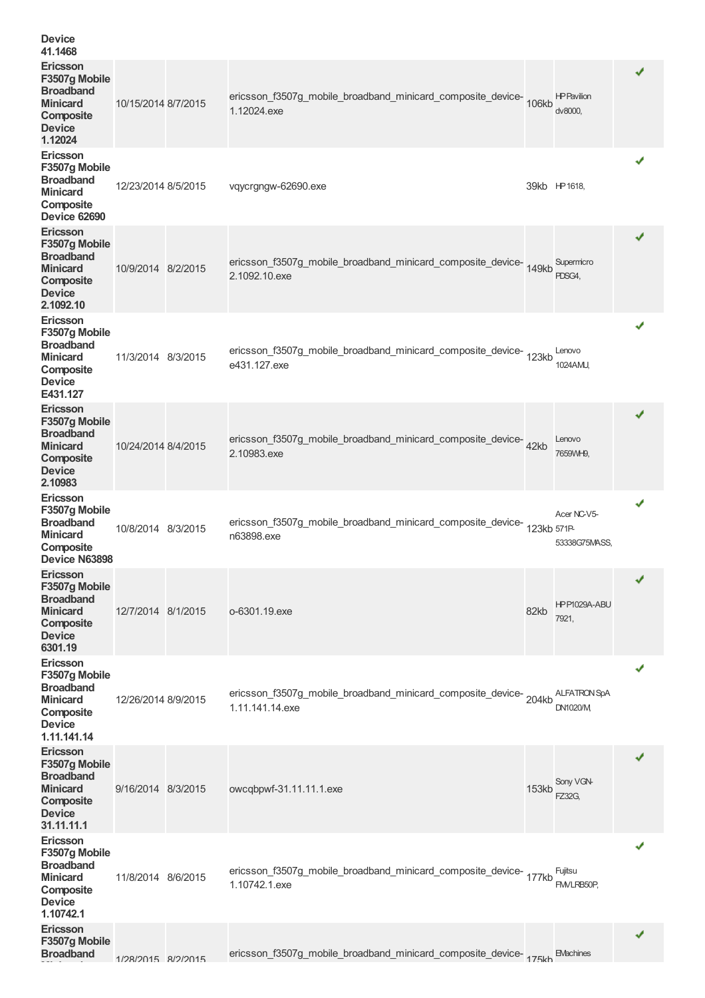| <b>Device</b><br>41.1468                                                                                           |                     |                                                                                      |       |                                        |   |
|--------------------------------------------------------------------------------------------------------------------|---------------------|--------------------------------------------------------------------------------------|-------|----------------------------------------|---|
| Ericsson<br>F3507g Mobile<br><b>Broadband</b><br><b>Minicard</b><br>Composite<br><b>Device</b><br>1.12024          | 10/15/2014 8/7/2015 | ericsson_f3507g_mobile_broadband_minicard_composite_device-106kb<br>1.12024.exe      |       | <b>HP Pavilion</b><br>dv8000,          | ✔ |
| Ericsson<br>F3507g Mobile<br><b>Broadband</b><br><b>Minicard</b><br>Composite<br><b>Device 62690</b>               | 12/23/2014 8/5/2015 | vqycrgngw-62690.exe                                                                  |       | 39kb HP 1618,                          |   |
| Ericsson<br>F3507g Mobile<br><b>Broadband</b><br><b>Minicard</b><br>Composite<br><b>Device</b><br>2.1092.10        | 10/9/2014 8/2/2015  | ericsson_f3507g_mobile_broadband_minicard_composite_device-149kb<br>2.1092.10.exe    |       | Supermicro<br>PDSG4,                   | ✔ |
| Ericsson<br>F3507g Mobile<br><b>Broadband</b><br><b>Minicard</b><br>Composite<br><b>Device</b><br>E431.127         | 11/3/2014 8/3/2015  | ericsson_f3507g_mobile_broadband_minicard_composite_device-<br>123kb<br>e431.127.exe |       | Lenovo<br>1024AMU,                     | √ |
| Ericsson<br>F3507g Mobile<br><b>Broadband</b><br><b>Minicard</b><br>Composite<br><b>Device</b><br>2.10983          | 10/24/2014 8/4/2015 | ericsson_f3507g_mobile_broadband_minicard_composite_device-42kb<br>2.10983.exe       |       | Lenovo<br>7659WH9,                     | ✔ |
| Ericsson<br>F3507g Mobile<br><b>Broadband</b><br><b>Minicard</b><br>Composite<br>Device N63898                     | 10/8/2014 8/3/2015  | ericsson_f3507g_mobile_broadband_minicard_composite_device-123kb 571P<br>n63898.exe  |       | Acer NC-V5-<br>53338G75MASS,           | √ |
| <b>Ericsson</b><br>F3507g Mobile<br><b>Broadband</b><br><b>Minicard</b><br>Composite<br><b>Device</b><br>6301.19   | 12/7/2014 8/1/2015  | o-6301.19.exe                                                                        | 82kb  | HPP1029A-ABU<br>7921,                  | ✔ |
| Ericsson<br>F3507g Mobile<br><b>Broadband</b><br><b>Minicard</b><br>Composite<br><b>Device</b><br>1.11.141.14      | 12/26/2014 8/9/2015 | ericsson_f3507g_mobile_broadband_minicard_composite_device-204kb<br>1.11.141.14.exe  |       | <b>ALFATRON SpA</b><br><b>DN1020/M</b> | √ |
| Ericsson<br>F3507g Mobile<br><b>Broadband</b><br><b>Minicard</b><br>Composite<br><b>Device</b><br>31.11.11.1       | 9/16/2014 8/3/2015  | owcqbpwf-31.11.11.1.exe                                                              | 153kb | Sony VGN-<br><b>FZ32G,</b>             | ✔ |
| <b>Ericsson</b><br>F3507g Mobile<br><b>Broadband</b><br><b>Minicard</b><br>Composite<br><b>Device</b><br>1.10742.1 | 11/8/2014 8/6/2015  | ericsson_f3507g_mobile_broadband_minicard_composite_device-177kb<br>1.10742.1.exe    |       | Fujitsu<br>FMVLRB50P.                  | √ |
| Ericsson<br>F3507g Mobile<br><b>Broadband</b>                                                                      | 1/28/2015 8/2/2015  | ericsson_f3507g_mobile_broadband_minicard_composite_device-175kh                     |       | <b>EMachines</b>                       | ✔ |
|                                                                                                                    |                     |                                                                                      |       |                                        |   |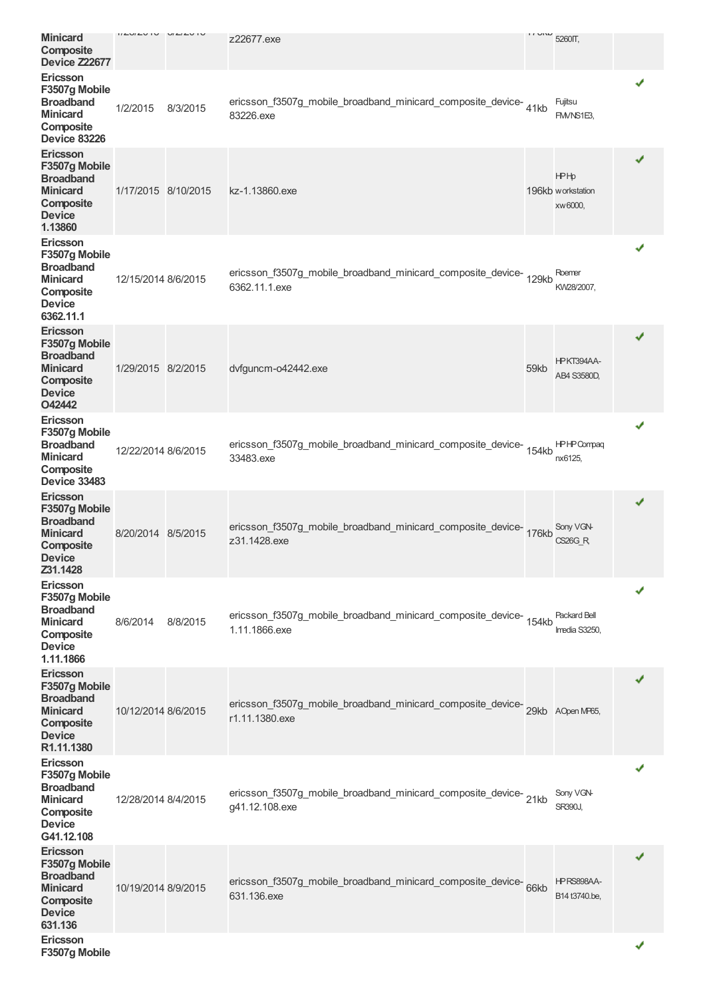| <b>Minicard</b><br>Composite<br><b>Device Z22677</b>                                                               | 11LUTU1U            | U/L/L    | z22677.exe                                                                            | <b>II UIW</b> | 5260TT,                                     |   |
|--------------------------------------------------------------------------------------------------------------------|---------------------|----------|---------------------------------------------------------------------------------------|---------------|---------------------------------------------|---|
| <b>Ericsson</b><br>F3507g Mobile<br><b>Broadband</b><br><b>Minicard</b><br>Composite<br><b>Device 83226</b>        | 1/2/2015            | 8/3/2015 | ericsson_f3507g_mobile_broadband_minicard_composite_device-41kb<br>83226.exe          |               | Fujitsu<br>FM/NS1E3,                        |   |
| Ericsson<br>F3507g Mobile<br><b>Broadband</b><br><b>Minicard</b><br>Composite<br><b>Device</b><br>1.13860          | 1/17/2015 8/10/2015 |          | kz-1.13860.exe                                                                        |               | <b>HPHp</b><br>196kb workstation<br>xw6000, | ✔ |
| <b>Ericsson</b><br>F3507g Mobile<br><b>Broadband</b><br><b>Minicard</b><br>Composite<br><b>Device</b><br>6362.11.1 | 12/15/2014 8/6/2015 |          | ericsson_f3507g_mobile_broadband_minicard_composite_device-<br>129kb<br>6362.11.1.exe |               | Roemer<br>KW28/2007,                        | ✔ |
| Ericsson<br>F3507g Mobile<br><b>Broadband</b><br><b>Minicard</b><br>Composite<br><b>Device</b><br>O42442           | 1/29/2015 8/2/2015  |          | dvfguncm-o42442.exe                                                                   | 59kb          | HPKT394AA-<br>AB4 S3580D,                   | ✔ |
| Ericsson<br>F3507g Mobile<br><b>Broadband</b><br><b>Minicard</b><br>Composite<br><b>Device 33483</b>               | 12/22/2014 8/6/2015 |          | ericsson_f3507g_mobile_broadband_minicard_composite_device-<br>154kb<br>33483.exe     |               | <b>HPHPCompaq</b><br>nx6125,                | ✔ |
| Ericsson<br>F3507g Mobile<br><b>Broadband</b><br><b>Minicard</b><br>Composite<br><b>Device</b><br>Z31.1428         | 8/20/2014 8/5/2015  |          | ericsson_f3507g_mobile_broadband_minicard_composite_device-176kb<br>z31.1428.exe      |               | Sony VGN-<br><b>CS26G_R</b>                 | ✔ |
| <b>Ericsson</b><br>F3507g Mobile<br><b>Broadband</b><br><b>Minicard</b><br>Composite<br><b>Device</b><br>1.11.1866 | 8/6/2014            | 8/8/2015 | ericsson_f3507g_mobile_broadband_minicard_composite_device-<br>154kb<br>1.11.1866.exe |               | Packard Bell<br>Imedia S3250,               |   |
| Ericsson<br>F3507g Mobile<br><b>Broadband</b><br><b>Minicard</b><br>Composite<br><b>Device</b><br>R1.11.1380       | 10/12/2014 8/6/2015 |          | ericsson_f3507g_mobile_broadband_minicard_composite_device-<br>29kb<br>r1.11.1380.exe |               | AOpen MP65,                                 | ✔ |
| Ericsson<br>F3507g Mobile<br><b>Broadband</b><br><b>Minicard</b><br>Composite<br><b>Device</b><br>G41.12.108       | 12/28/2014 8/4/2015 |          | ericsson_f3507g_mobile_broadband_minicard_composite_device-21kb<br>g41.12.108.exe     |               | Sony VGN-<br>SR390J,                        | √ |
| Ericsson<br>F3507g Mobile<br><b>Broadband</b><br><b>Minicard</b><br>Composite<br><b>Device</b><br>631.136          | 10/19/2014 8/9/2015 |          | ericsson_f3507g_mobile_broadband_minicard_composite_device-66kb<br>631.136.exe        |               | HPRS898AA-<br>B14 t3740.be,                 | ✔ |
| <b>Ericsson</b><br>F3507g Mobile                                                                                   |                     |          |                                                                                       |               |                                             | ✔ |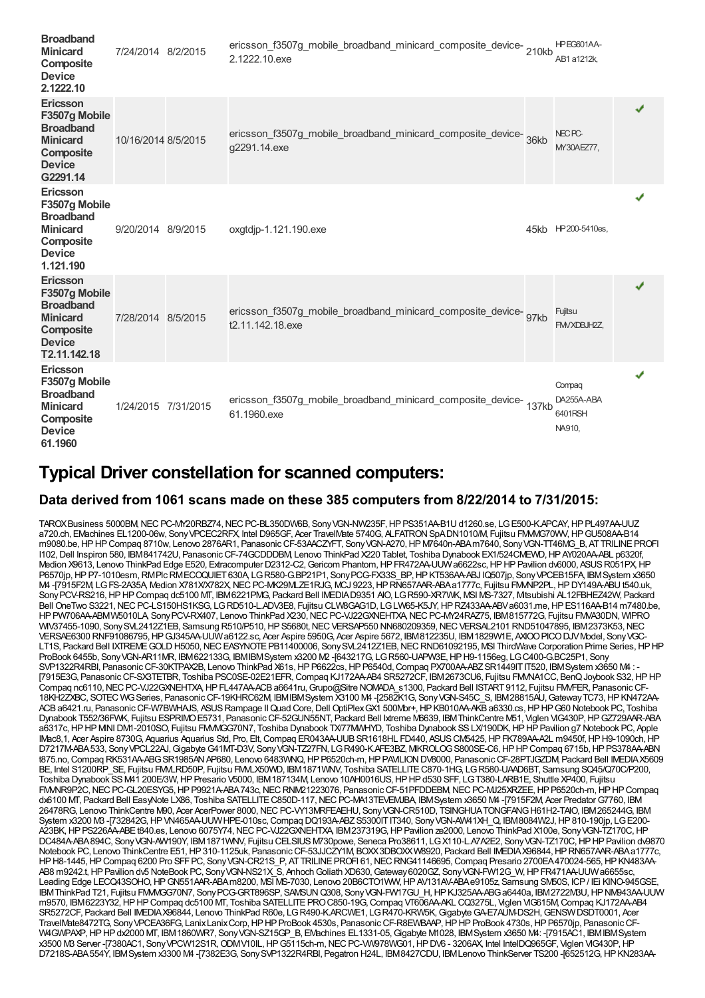| <b>Broadband</b><br><b>Minicard</b><br>Composite<br><b>Device</b><br>2.1222.10                                        | 7/24/2014 8/2/2015  | ericsson_f3507g_mobile_broadband_minicard_composite_device-210kb<br>2.1222.10.exe       | HPEG601AA-<br>AB1 a1212k.                 |   |
|-----------------------------------------------------------------------------------------------------------------------|---------------------|-----------------------------------------------------------------------------------------|-------------------------------------------|---|
| Ericsson<br>F3507g Mobile<br><b>Broadband</b><br><b>Minicard</b><br>Composite<br><b>Device</b><br>G2291.14            | 10/16/2014 8/5/2015 | ericsson_f3507g_mobile_broadband_minicard_composite_device-<br>36kb<br>g2291.14.exe     | NEC <sub>PC</sub><br>MY30AEZ77,           | ✔ |
| <b>Ericsson</b><br>F3507g Mobile<br><b>Broadband</b><br><b>Minicard</b><br>Composite<br><b>Device</b><br>1.121.190    | 9/20/2014 8/9/2015  | oxgtdjp-1.121.190.exe                                                                   | 45kb HP 200-5410es,                       | ✔ |
| <b>Ericsson</b><br>F3507g Mobile<br><b>Broadband</b><br><b>Minicard</b><br>Composite<br><b>Device</b><br>T2.11.142.18 | 7/28/2014 8/5/2015  | ericsson_f3507g_mobile_broadband_minicard_composite_device-<br>97kb<br>t2.11.142.18.exe | Fujitsu<br>FM/XDBJH2Z,                    | ✔ |
| <b>Ericsson</b><br>F3507g Mobile<br><b>Broadband</b><br><b>Minicard</b><br>Composite<br><b>Device</b><br>61.1960      | 1/24/2015 7/31/2015 | ericsson_f3507g_mobile_broadband_minicard_composite_device-<br>137kb<br>61.1960.exe     | Compaq<br>DA255A-ABA<br>6401RSH<br>NA910, | ✔ |

### **Typical Driver constellation for scanned computers:**

#### **Data derived from 1061 scans made on these 385 computers from 8/22/2014 to 7/31/2015:**

TAROXBusiness 5000BM, NEC PC-MY20RBZ74, NEC PC-BL350DW6B, Sony VGN-NW235F, HP PS351AA-B1U d1260.se, LG E500-K.APCAY, HP PL497AA-UUZ a720.ch, EMachines EL1200-06w, Sony VPCEC2RFX, Intel D965GF, Acer TravelMate 5740G, ALFATRON SpADN1010/M, Fujitsu FMM/G70WV, HP GU508AA-B14 m9080.be,HPHPCompaq 8710w, Lenovo 2876AR1, PanasonicCF-53AACZYFT, SonyVGN-A270,HPM7640n-ABAm7640, SonyVGN-TT46MG\_B, ATTRILINEPROFI I102,Dell Inspiron 580, IBM841742U, PanasonicCF-74GCDDDBM, Lenovo ThinkPad X220 Tablet, Toshiba Dynabook EX1/524CMEWD,HPAY020AA-ABL p6320f, Medion X9613, Lenovo ThinkPad Edge E520, Extracomputer D2312-C2, Gericom Phantom, HP FR472AA-UUW a6622sc, HP HP Pavilion dv6000, ASUS R051PX, HP P6570jp, HP P7-1010esm, RMPlc RMECOQUIET 630A, LG R580-G.BP21P1, Sony PCG-FX33S\_BP, HP KT536AA-ABJ IQ507jp, Sony VPCEB15FA, IBMSystem x3650 M4-[7915F2M, LGFS-2A35A, Medion X781X/X782X, NEC PC-MK29MLZE1RJG, MCJ 9223, HP RN657AAR-ABAa1777c, Fujitsu FMMP2PL, HPDY149A-ABUt540.uk, SonyPCV-RS216,HPHPCompaq dc5100 MT, IBM6221PMG, Packard Bell IMEDIAD9351 AIO, LGR590-XR7WK, MSI MS-7327, Mitsubishi AL12FBHEZ42W, Packard Bell OneTwo S3221, NEC PC-LS150HS1KSG, LGRD510-L.ADV3E8, Fujitsu CLW8GAG1D, LGLW65-K5JY, HP RZ433AA-ABV a6031.me, HP ES116AA-B14 m7480.be, HP PW706AA-ABMW5010LA, Sony PCV-RX407, Lenovo ThinkPad X230, NEC PC-VJ22GXNEHTXA, NEC PC-MY24RAZ75, IBM815772G, Fujitsu FMVA30DN, WIPRO WIV37455-1090, Sony SVL2412Z1EB, Samsung R510/P510, HP S5680t, NEC VERSAP550 NN680209359, NEC VERSAL2101 RND51047895, IBM2373K53, NEC VERSAE6300 RNF91086795,HPGJ345AA-UUWa6122.sc, Acer Aspire 5950G, Acer Aspire 5672, IBM812235U, IBM1829W1E, AXIOOPICODJVModel, SonyVGC-LT1S, Packard Bell IXTREMEGOLDH5050,NECEASYNOTEPB11400006, SonySVL2412Z1EB,NECRND61092195, MSI ThirdWave Corporation Prime Series,HPHP ProBook 6455b, SonyVGN-AR11MR, IBM622133G, IBMIBMSystem x3200 M2 -[643217G, LGR560-UAPW3E,HPH9-1156eg, LGC400-G.BC25P1, Sony SVP1322R4RBI, PanasonicCF-30KTPAX2B, Lenovo ThinkPad X61s,HPP6622cs,HPP6540d,Compaq PX700AA-ABZSR1449ITIT520, IBMSystem x3650 M4 : - [7915E3G, PanasonicCF-SX3TETBR, Toshiba PSC0SE-02E21EFR,Compaq KJ172AA-AB4 SR5272CF, IBM2673CU6, Fujitsu FMVNA1CC, BenQJoybook S32,HPHP Compaq nc6110, NEC PC-VJ22GXNEHTXA, HP FL447AA-ACB a6641ru, Grupo@Sitre NOMADA\_s1300, Packard Bell ISTART 9112, Fujitsu FMVFER, Panasonic CF-18KH2ZXBC, SOTEC WGSeries, PanasonicCF-19KHRC62M, IBMIBMSystem X3100 M4 -[2582K1G, SonyVGN-S45C\_S, IBM28815AU,GatewayTC73,HPKN472AA-ACBa6421.ru, PanasonicCF-W7BWHAJS, ASUSRampage IIQuad Core,Dell OptiPlexGX1 500Mbr+,HPKB010AA-AKBa6330.cs,HPHPG60 Notebook PC, Toshiba Dynabook T552/36FWK, Fujitsu ESPRIMOE5731, PanasonicCF-52GUN55NT, Packard Bell Ixtreme M6639, IBMThinkCentre M51, Viglen VIG430P,HPGZ729AAR-ABA a6317c, HP HP MNI DM1-2010SO, Fujitsu FMMGG70N7, Toshiba Dynabook TX77MMHYD, Toshiba Dynabook SS LX/190DK, HP HP Pavilion g7 Notebook PC, Apple IMac8,1, Acer Aspire 8730G, Aquarius Aquarius Std, Pro, Elt, Compaq ER043AA-UUB SR1618HL FD440, ASUS CM5425, HP FK789AA-A2L m9450f, HP H9-1090ch, HP D7217M-ABA533, SonyVPCL22AJ,GigabyteG41MT-D3V, SonyVGN-TZ27FN, LGR490-K.AFE3BZ, MIKROLOGS800SE-C6,HPHPCompaq 6715b,HPPS378AA-ABN t875.no, Compaq RK531AA-ABG SR1985AN AP680, Lenovo 6483WNQ, HP P6520ch-m, HP PAVILION DV8000, Panasonic CF-28PTJGZDM, Packard Bell IMEDIAX5609 BE, Intel S1200RP\_SE, Fujitsu FMLRD50P, Fujitsu FMLX50WD, IBM 1871VMV, Toshiba SATELLITE C870-1HG, LGR580-UAAD6BT, Samsung SQ45/Q70C/P200, Toshiba Dynabook SSM41 200E/3W,HPPresario V5000, IBM187134M, Lenovo 10AH0016US,HPHPd530 SFF, LGT380-LARB1E, Shuttle XP400, Fujitsu FMMR9P2C, NEC PC-GL20ESYG5, HP P9921A-ABA743c, NEC RNM21223076, Panasonic CF-51PFDDEBM, NEC PC-MJ25XRZEE, HP P6520ch-m, HP HP Compaq dx6100 MT, Packard Bell EasyNote LX86, Toshiba SATELLITE C850D-117, NEC PC-MA13TEVEMJBA, IBM System x3650 M4 -[7915F2M, Acer Predator G7760, IBM 26478RG, Lenovo ThinkCentre M90, Acer AcerPower 8000, NEC PC-VY13MRFEAEHU, Sony VGN-CR510D, TSINGHUA TONGFANG H61H2-TAIO, IBM265244G, IBM System x3200 M3-[732842G, HP VN465AA-UUW HPE-010sc, Compaq DQ193A-ABZ S5300IT IT340, Sony VGN-AW41XH\_Q, IBM8084W2J, HP 810-190jp, LG E200-A23BK, HP PS226AA-ABEt840.es, Lenovo 6075Y74, NEC PC-VJ22GXNEHTXA, IBM237319G, HP Pavilion ze2000, Lenovo ThinkPad X100e, Sony VGN-TZ170C, HP DC484A-ABA894C, Sony VGN-AW190Y, IBM1871WNV, Fujitsu CELSIUS M730powe, Seneca Pro38611, LGX110-L.A7A2E2, Sony VGN-TZ170C, HP HP Pavilion dv9870 Notebook PC, Lenovo ThinkCentre E51, HP 310-1125uk, Panasonic CF-53JJCZY1M, BOXX3DBOXXW8920, Packard Bell IMEDIAX96844, HP RN657AAR-ABAa1777c, HPH8-1445, HP Compaq 6200 Pro SFF PC, Sony VGN-CR21S\_P, AT TRILINE PROFI 61, NEC RNG41146695, Compaq Presario 2700EA470024-565, HP KN483AA-AB8 m9242.t,HPPavilion dv5 NoteBook PC, SonyVGN-NS21X\_S, AnhochGoliath XD630,Gateway6020GZ, SonyVGN-FW12G\_W,HPFR471AA-UUWa6655sc, Leading Edge LECQ43SOHO,HPGN551AAR-ABAm8200, MSI MS-7030, Lenovo 20B6CTO1WW,HPAV131AV-ABAe9105z, Samsung SM50S, ICP/ IEi KINO-945GSE, IBMThinkPad T21, Fujitsu FMVMGG70N7, SonyPCG-GRT896SP, SAMSUNQ308, SonyVGN-FW17GU\_H,HPKJ325AA-ABGa6440a, IBM2722M3U,HPNM943AA-UUW m9570, IBM6223Y32,HPHPCompaq dc5100 MT, Toshiba SATELLITEPROC850-19G,Compaq VT606AA-AKL CQ3275L, Viglen VIG615M,Compaq KJ172AA-AB4 SR5272CF, Packard Bell IMEDIAX96844, Lenovo ThinkPad R60e, LG R490-K.ARCWE1, LG R470-KRW5K, Gigabyte GA-E7AUM-DS2H, GENSW DSDT0001, Acer TravelMate8472TG, SonyVPCEA36FG, LanixLanixCorp,HPHPProBook 4530s, PanasonicCF-R8EWBAAP,HPHPProBook 4730s,HPP6570jp, PanasonicCF- W4GWPAXP,HPHPdx2000 MT, IBM1860WR7, SonyVGN-SZ15GP\_B, EMachines EL1331-05,Gigabyte M1028, IBMSystem x3650 M4: -[7915AC1, IBMIBMSystem x3500 M3 Server -[7380AC1, SonyVPCW12S1R,ODMV10IL,HPG5115ch-m,NECPC-VW978WG01,HPDV6 - 3206AX, Intel IntelDQ965GF, Viglen VIG430P,HP D7218S-ABA554Y, IBMSystem x3300 M4 -[7382E3G, SonySVP1322R4RBI, Pegatron H24L, IBM8427CDU, IBMLenovo ThinkServer TS200 -[652512G, HP KN283AA-